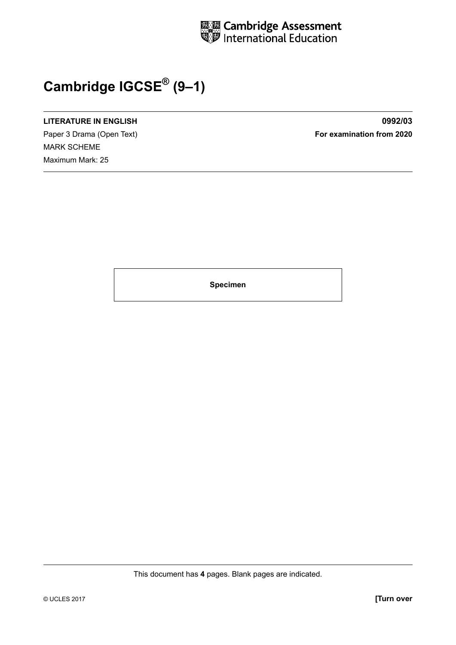

## **Cambridge IGCSE® (9–1)**

## **LITERATURE IN ENGLISH 0992/03**

Paper 3 Drama (Open Text) **For examination from 2020** MARK SCHEME Maximum Mark: 25

**Specimen**

This document has **4** pages. Blank pages are indicated.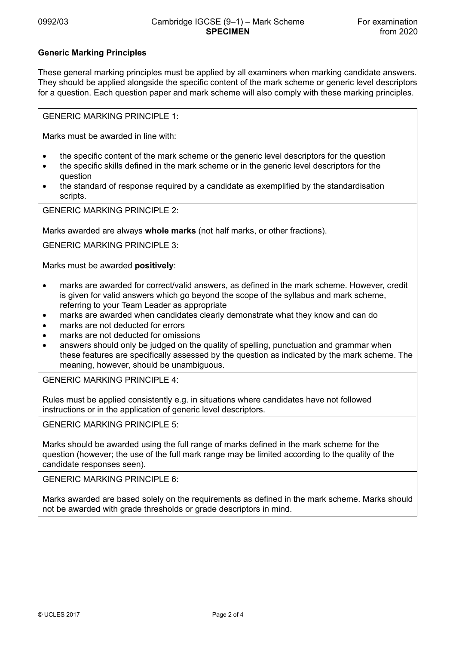## **Generic Marking Principles**

These general marking principles must be applied by all examiners when marking candidate answers. They should be applied alongside the specific content of the mark scheme or generic level descriptors for a question. Each question paper and mark scheme will also comply with these marking principles.

GENERIC MARKING PRINCIPLE 1:

Marks must be awarded in line with:

- the specific content of the mark scheme or the generic level descriptors for the question
- the specific skills defined in the mark scheme or in the generic level descriptors for the question
- the standard of response required by a candidate as exemplified by the standardisation scripts.

GENERIC MARKING PRINCIPLE 2:

Marks awarded are always **whole marks** (not half marks, or other fractions).

GENERIC MARKING PRINCIPLE 3:

Marks must be awarded **positively**:

- marks are awarded for correct/valid answers, as defined in the mark scheme. However, credit is given for valid answers which go beyond the scope of the syllabus and mark scheme, referring to your Team Leader as appropriate
- marks are awarded when candidates clearly demonstrate what they know and can do
- marks are not deducted for errors
- marks are not deducted for omissions
- answers should only be judged on the quality of spelling, punctuation and grammar when these features are specifically assessed by the question as indicated by the mark scheme. The meaning, however, should be unambiguous.

GENERIC MARKING PRINCIPLE 4:

Rules must be applied consistently e.g. in situations where candidates have not followed instructions or in the application of generic level descriptors.

GENERIC MARKING PRINCIPLE 5:

Marks should be awarded using the full range of marks defined in the mark scheme for the question (however; the use of the full mark range may be limited according to the quality of the candidate responses seen).

GENERIC MARKING PRINCIPLE 6:

Marks awarded are based solely on the requirements as defined in the mark scheme. Marks should not be awarded with grade thresholds or grade descriptors in mind.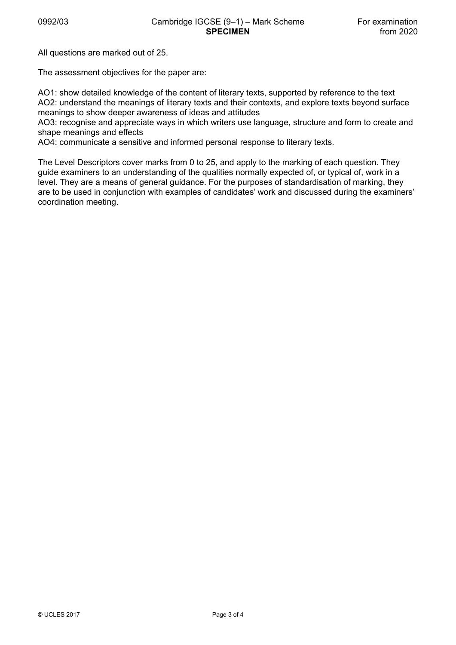All questions are marked out of 25.

The assessment objectives for the paper are:

AO1: show detailed knowledge of the content of literary texts, supported by reference to the text AO2: understand the meanings of literary texts and their contexts, and explore texts beyond surface meanings to show deeper awareness of ideas and attitudes

AO3: recognise and appreciate ways in which writers use language, structure and form to create and shape meanings and effects

AO4: communicate a sensitive and informed personal response to literary texts.

The Level Descriptors cover marks from 0 to 25, and apply to the marking of each question. They guide examiners to an understanding of the qualities normally expected of, or typical of, work in a level. They are a means of general guidance. For the purposes of standardisation of marking, they are to be used in conjunction with examples of candidates' work and discussed during the examiners' coordination meeting.